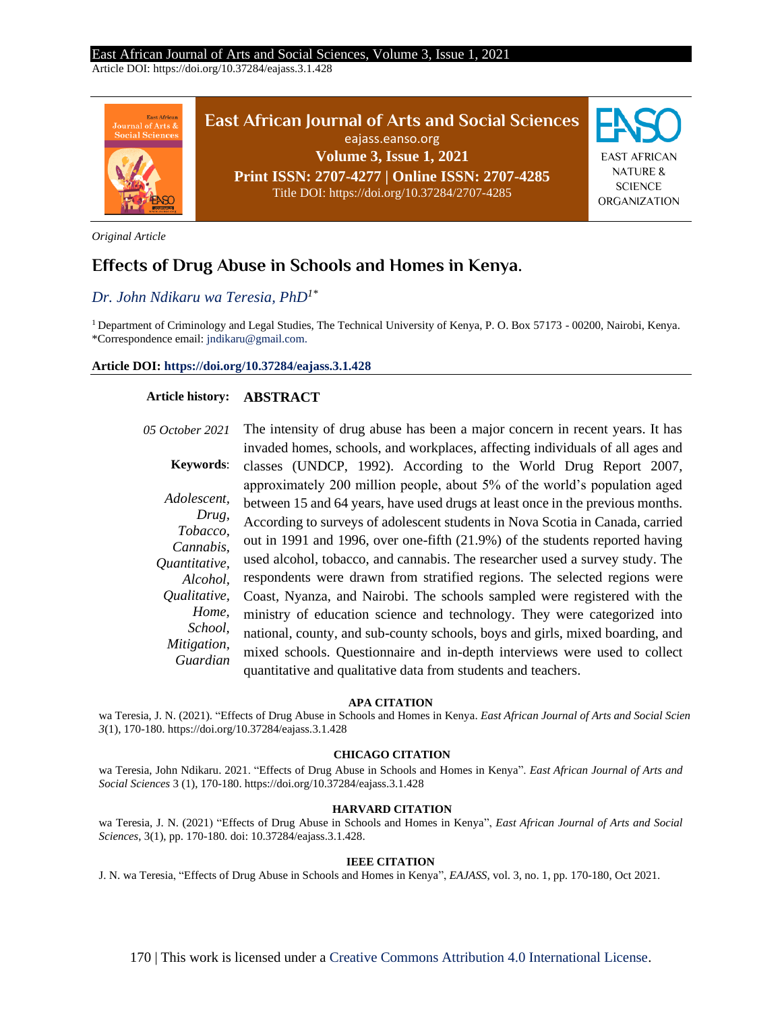Article DOI: [https://doi.org/10.37284/eajass.3.1.428](https://doi.org/10.37284/eajass.3.1.407)



*Original Article*

# **Effects of Drug Abuse in Schools and Homes in Kenya.**

# *Dr. John Ndikaru wa Teresia, PhD1\**

<sup>1</sup>Department of Criminology and Legal Studies, The Technical University of Kenya, P. O. Box 57173 - 00200, Nairobi, Kenya. \*Correspondence email: jndikaru@gmail.com.

### **Article DOI[: https://doi.org/10.37284/eajass.3.1.428](https://doi.org/10.37284/eajass.3.1.428)**

### **Article history: ABSTRACT**

*05 October 2021* **Keywords**: *Adolescent, Drug, Tobacco, Cannabis, Quantitative, Alcohol, Qualitative, Home, School, Mitigation, Guardian* The intensity of drug abuse has been a major concern in recent years. It has invaded homes, schools, and workplaces, affecting individuals of all ages and classes (UNDCP, 1992). According to the World Drug Report 2007, approximately 200 million people, about 5% of the world's population aged between 15 and 64 years, have used drugs at least once in the previous months. According to surveys of adolescent students in Nova Scotia in Canada, carried out in 1991 and 1996, over one-fifth (21.9%) of the students reported having used alcohol, tobacco, and cannabis. The researcher used a survey study. The respondents were drawn from stratified regions. The selected regions were Coast, Nyanza, and Nairobi. The schools sampled were registered with the ministry of education science and technology. They were categorized into national, county, and sub-county schools, boys and girls, mixed boarding, and mixed schools. Questionnaire and in-depth interviews were used to collect quantitative and qualitative data from students and teachers.

#### **APA CITATION**

wa Teresia, J. N. (2021). "Effects of Drug Abuse in Schools and Homes in Kenya. *East African Journal of Arts and Social Scien 3*(1), 170-180. https://doi.org/10.37284/eajass.3.1.428

#### **CHICAGO CITATION**

wa Teresia, John Ndikaru. 2021. "Effects of Drug Abuse in Schools and Homes in Kenya". *East African Journal of Arts and Social Sciences* 3 (1), 170-180. https://doi.org/10.37284/eajass.3.1.428

#### **HARVARD CITATION**

wa Teresia, J. N. (2021) "Effects of Drug Abuse in Schools and Homes in Kenya", *East African Journal of Arts and Social Sciences*, 3(1), pp. 170-180. doi: 10.37284/eajass.3.1.428.

#### **IEEE CITATION**

J. N. wa Teresia, "Effects of Drug Abuse in Schools and Homes in Kenya", *EAJASS*, vol. 3, no. 1, pp. 170-180, Oct 2021.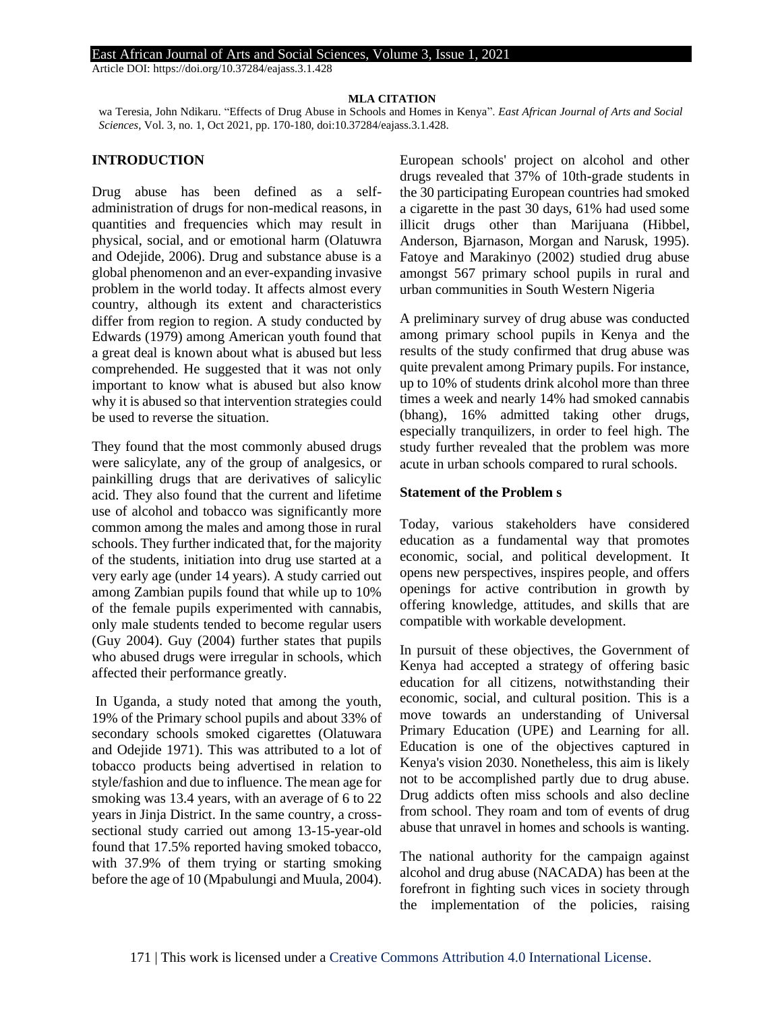Article DOI: [https://doi.org/10.37284/eajass.3.1.428](https://doi.org/10.37284/eajass.3.1.407)

#### **MLA CITATION**

wa Teresia, John Ndikaru. "Effects of Drug Abuse in Schools and Homes in Kenya". *East African Journal of Arts and Social Sciences*, Vol. 3, no. 1, Oct 2021, pp. 170-180, doi:10.37284/eajass.3.1.428.

### **INTRODUCTION**

Drug abuse has been defined as a selfadministration of drugs for non-medical reasons, in quantities and frequencies which may result in physical, social, and or emotional harm (Olatuwra and Odejide, 2006). Drug and substance abuse is a global phenomenon and an ever-expanding invasive problem in the world today. It affects almost every country, although its extent and characteristics differ from region to region. A study conducted by Edwards (1979) among American youth found that a great deal is known about what is abused but less comprehended. He suggested that it was not only important to know what is abused but also know why it is abused so that intervention strategies could be used to reverse the situation.

They found that the most commonly abused drugs were salicylate, any of the group of analgesics, or painkilling drugs that are derivatives of salicylic acid. They also found that the current and lifetime use of alcohol and tobacco was significantly more common among the males and among those in rural schools. They further indicated that, for the majority of the students, initiation into drug use started at a very early age (under 14 years). A study carried out among Zambian pupils found that while up to 10% of the female pupils experimented with cannabis, only male students tended to become regular users (Guy 2004). Guy (2004) further states that pupils who abused drugs were irregular in schools, which affected their performance greatly.

In Uganda, a study noted that among the youth, 19% of the Primary school pupils and about 33% of secondary schools smoked cigarettes (Olatuwara and Odejide 1971). This was attributed to a lot of tobacco products being advertised in relation to style/fashion and due to influence. The mean age for smoking was 13.4 years, with an average of 6 to 22 years in Jinja District. In the same country, a crosssectional study carried out among 13-15-year-old found that 17.5% reported having smoked tobacco, with 37.9% of them trying or starting smoking before the age of 10 (Mpabulungi and Muula, 2004). European schools' project on alcohol and other drugs revealed that 37% of 10th-grade students in the 30 participating European countries had smoked a cigarette in the past 30 days, 61% had used some illicit drugs other than Marijuana (Hibbel, Anderson, Bjarnason, Morgan and Narusk, 1995). Fatoye and Marakinyo (2002) studied drug abuse amongst 567 primary school pupils in rural and urban communities in South Western Nigeria

A preliminary survey of drug abuse was conducted among primary school pupils in Kenya and the results of the study confirmed that drug abuse was quite prevalent among Primary pupils. For instance, up to 10% of students drink alcohol more than three times a week and nearly 14% had smoked cannabis (bhang), 16% admitted taking other drugs, especially tranquilizers, in order to feel high. The study further revealed that the problem was more acute in urban schools compared to rural schools.

### **Statement of the Problem s**

Today, various stakeholders have considered education as a fundamental way that promotes economic, social, and political development. It opens new perspectives, inspires people, and offers openings for active contribution in growth by offering knowledge, attitudes, and skills that are compatible with workable development.

In pursuit of these objectives, the Government of Kenya had accepted a strategy of offering basic education for all citizens, notwithstanding their economic, social, and cultural position. This is a move towards an understanding of Universal Primary Education (UPE) and Learning for all. Education is one of the objectives captured in Kenya's vision 2030. Nonetheless, this aim is likely not to be accomplished partly due to drug abuse. Drug addicts often miss schools and also decline from school. They roam and tom of events of drug abuse that unravel in homes and schools is wanting.

The national authority for the campaign against alcohol and drug abuse (NACADA) has been at the forefront in fighting such vices in society through the implementation of the policies, raising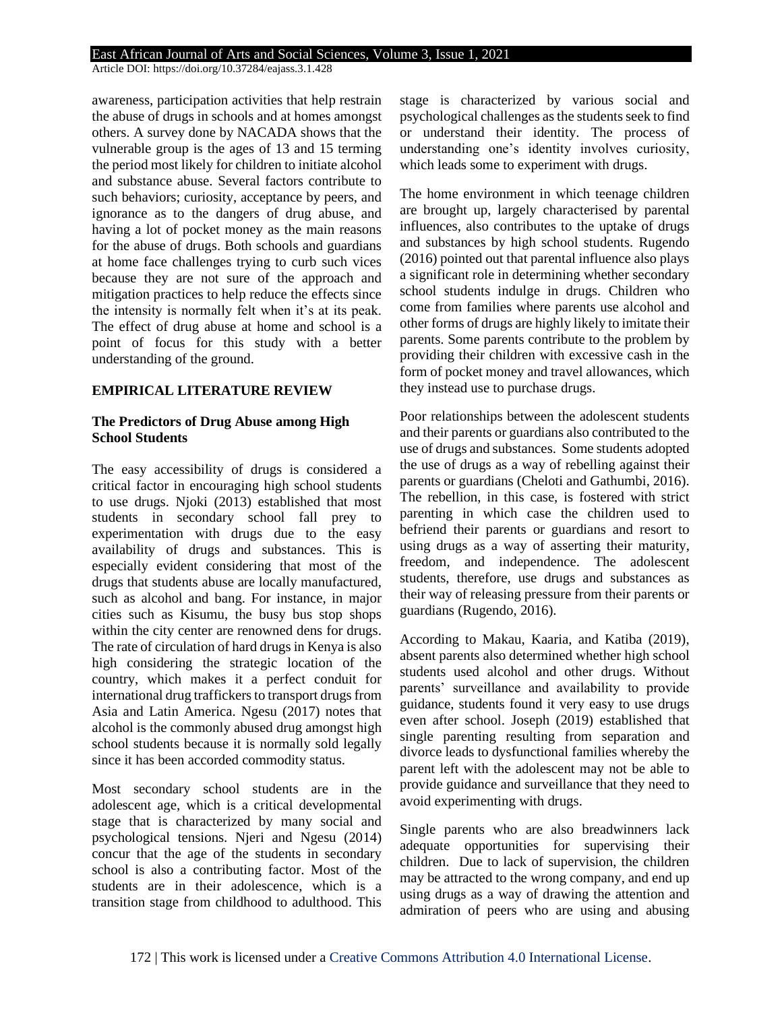Article DOI: [https://doi.org/10.37284/eajass.3.1.428](https://doi.org/10.37284/eajass.3.1.407)

awareness, participation activities that help restrain the abuse of drugs in schools and at homes amongst others. A survey done by NACADA shows that the vulnerable group is the ages of 13 and 15 terming the period most likely for children to initiate alcohol and substance abuse. Several factors contribute to such behaviors; curiosity, acceptance by peers, and ignorance as to the dangers of drug abuse, and having a lot of pocket money as the main reasons for the abuse of drugs. Both schools and guardians at home face challenges trying to curb such vices because they are not sure of the approach and mitigation practices to help reduce the effects since the intensity is normally felt when it's at its peak. The effect of drug abuse at home and school is a point of focus for this study with a better understanding of the ground.

# **EMPIRICAL LITERATURE REVIEW**

# **The Predictors of Drug Abuse among High School Students**

The easy accessibility of drugs is considered a critical factor in encouraging high school students to use drugs. Njoki (2013) established that most students in secondary school fall prey to experimentation with drugs due to the easy availability of drugs and substances. This is especially evident considering that most of the drugs that students abuse are locally manufactured, such as alcohol and bang. For instance, in major cities such as Kisumu, the busy bus stop shops within the city center are renowned dens for drugs. The rate of circulation of hard drugs in Kenya is also high considering the strategic location of the country, which makes it a perfect conduit for international drug traffickers to transport drugs from Asia and Latin America. Ngesu (2017) notes that alcohol is the commonly abused drug amongst high school students because it is normally sold legally since it has been accorded commodity status.

Most secondary school students are in the adolescent age, which is a critical developmental stage that is characterized by many social and psychological tensions. Njeri and Ngesu (2014) concur that the age of the students in secondary school is also a contributing factor. Most of the students are in their adolescence, which is a transition stage from childhood to adulthood. This stage is characterized by various social and psychological challenges as the students seek to find or understand their identity. The process of understanding one's identity involves curiosity, which leads some to experiment with drugs.

The home environment in which teenage children are brought up, largely characterised by parental influences, also contributes to the uptake of drugs and substances by high school students. Rugendo (2016) pointed out that parental influence also plays a significant role in determining whether secondary school students indulge in drugs. Children who come from families where parents use alcohol and other forms of drugs are highly likely to imitate their parents. Some parents contribute to the problem by providing their children with excessive cash in the form of pocket money and travel allowances, which they instead use to purchase drugs.

Poor relationships between the adolescent students and their parents or guardians also contributed to the use of drugs and substances. Some students adopted the use of drugs as a way of rebelling against their parents or guardians (Cheloti and Gathumbi, 2016). The rebellion, in this case, is fostered with strict parenting in which case the children used to befriend their parents or guardians and resort to using drugs as a way of asserting their maturity, freedom, and independence. The adolescent students, therefore, use drugs and substances as their way of releasing pressure from their parents or guardians (Rugendo, 2016).

According to Makau, Kaaria, and Katiba (2019), absent parents also determined whether high school students used alcohol and other drugs. Without parents' surveillance and availability to provide guidance, students found it very easy to use drugs even after school. Joseph (2019) established that single parenting resulting from separation and divorce leads to dysfunctional families whereby the parent left with the adolescent may not be able to provide guidance and surveillance that they need to avoid experimenting with drugs.

Single parents who are also breadwinners lack adequate opportunities for supervising their children. Due to lack of supervision, the children may be attracted to the wrong company, and end up using drugs as a way of drawing the attention and admiration of peers who are using and abusing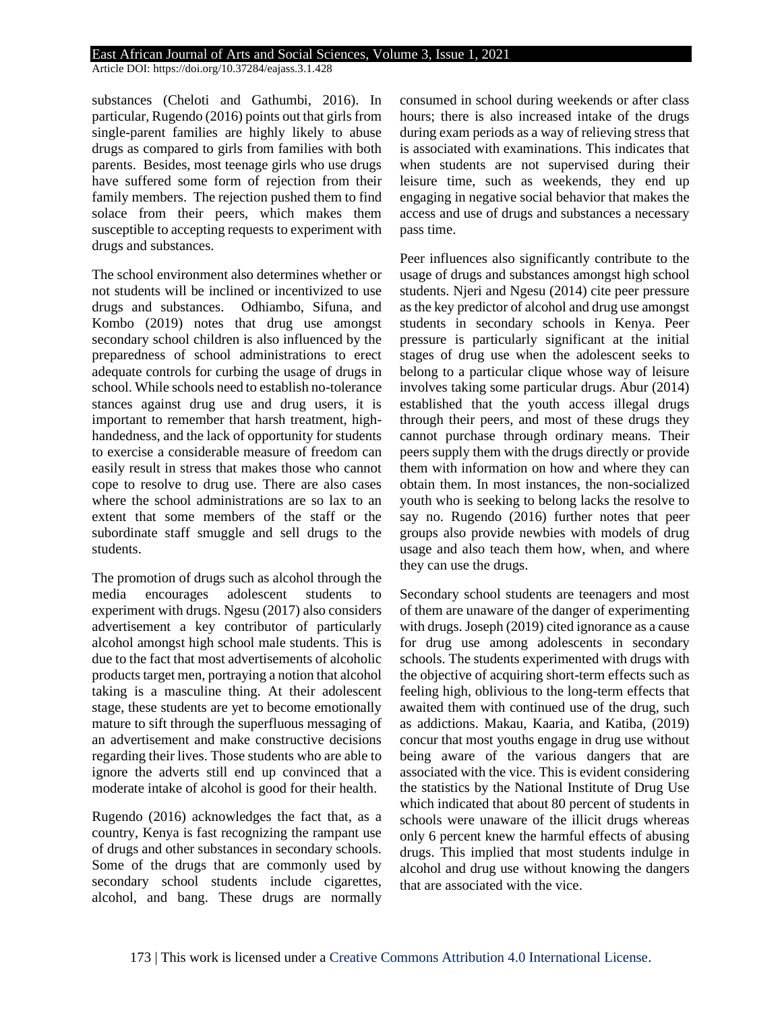substances (Cheloti and Gathumbi, 2016). In particular, Rugendo (2016) points out that girls from single-parent families are highly likely to abuse drugs as compared to girls from families with both parents. Besides, most teenage girls who use drugs have suffered some form of rejection from their family members. The rejection pushed them to find solace from their peers, which makes them susceptible to accepting requests to experiment with drugs and substances.

The school environment also determines whether or not students will be inclined or incentivized to use drugs and substances. Odhiambo, Sifuna, and Kombo (2019) notes that drug use amongst secondary school children is also influenced by the preparedness of school administrations to erect adequate controls for curbing the usage of drugs in school. While schools need to establish no-tolerance stances against drug use and drug users, it is important to remember that harsh treatment, highhandedness, and the lack of opportunity for students to exercise a considerable measure of freedom can easily result in stress that makes those who cannot cope to resolve to drug use. There are also cases where the school administrations are so lax to an extent that some members of the staff or the subordinate staff smuggle and sell drugs to the students.

The promotion of drugs such as alcohol through the media encourages adolescent students to experiment with drugs. Ngesu (2017) also considers advertisement a key contributor of particularly alcohol amongst high school male students. This is due to the fact that most advertisements of alcoholic products target men, portraying a notion that alcohol taking is a masculine thing. At their adolescent stage, these students are yet to become emotionally mature to sift through the superfluous messaging of an advertisement and make constructive decisions regarding their lives. Those students who are able to ignore the adverts still end up convinced that a moderate intake of alcohol is good for their health.

Rugendo (2016) acknowledges the fact that, as a country, Kenya is fast recognizing the rampant use of drugs and other substances in secondary schools. Some of the drugs that are commonly used by secondary school students include cigarettes, alcohol, and bang. These drugs are normally consumed in school during weekends or after class hours; there is also increased intake of the drugs during exam periods as a way of relieving stress that is associated with examinations. This indicates that when students are not supervised during their leisure time, such as weekends, they end up engaging in negative social behavior that makes the access and use of drugs and substances a necessary pass time.

Peer influences also significantly contribute to the usage of drugs and substances amongst high school students. Njeri and Ngesu (2014) cite peer pressure as the key predictor of alcohol and drug use amongst students in secondary schools in Kenya. Peer pressure is particularly significant at the initial stages of drug use when the adolescent seeks to belong to a particular clique whose way of leisure involves taking some particular drugs. Abur (2014) established that the youth access illegal drugs through their peers, and most of these drugs they cannot purchase through ordinary means. Their peers supply them with the drugs directly or provide them with information on how and where they can obtain them. In most instances, the non-socialized youth who is seeking to belong lacks the resolve to say no. Rugendo (2016) further notes that peer groups also provide newbies with models of drug usage and also teach them how, when, and where they can use the drugs.

Secondary school students are teenagers and most of them are unaware of the danger of experimenting with drugs. Joseph (2019) cited ignorance as a cause for drug use among adolescents in secondary schools. The students experimented with drugs with the objective of acquiring short-term effects such as feeling high, oblivious to the long-term effects that awaited them with continued use of the drug, such as addictions. Makau, Kaaria, and Katiba, (2019) concur that most youths engage in drug use without being aware of the various dangers that are associated with the vice. This is evident considering the statistics by the National Institute of Drug Use which indicated that about 80 percent of students in schools were unaware of the illicit drugs whereas only 6 percent knew the harmful effects of abusing drugs. This implied that most students indulge in alcohol and drug use without knowing the dangers that are associated with the vice.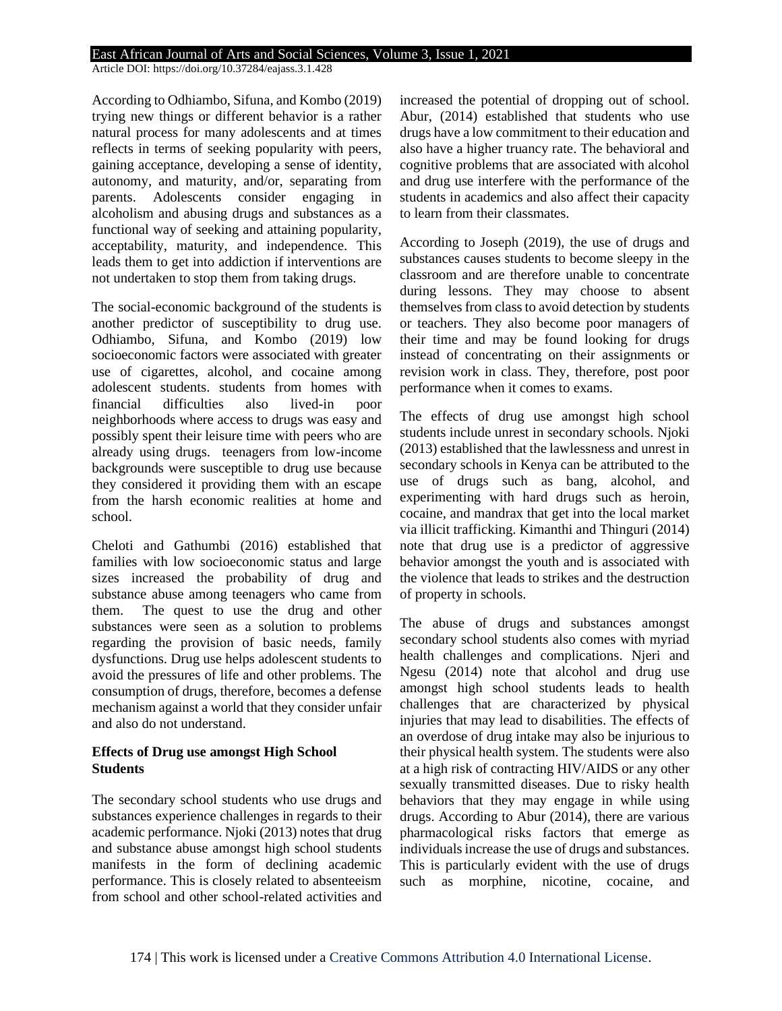Article DOI: [https://doi.org/10.37284/eajass.3.1.428](https://doi.org/10.37284/eajass.3.1.407)

According to Odhiambo, Sifuna, and Kombo (2019) trying new things or different behavior is a rather natural process for many adolescents and at times reflects in terms of seeking popularity with peers, gaining acceptance, developing a sense of identity, autonomy, and maturity, and/or, separating from parents. Adolescents consider engaging in alcoholism and abusing drugs and substances as a functional way of seeking and attaining popularity, acceptability, maturity, and independence. This leads them to get into addiction if interventions are not undertaken to stop them from taking drugs.

The social-economic background of the students is another predictor of susceptibility to drug use. Odhiambo, Sifuna, and Kombo (2019) low socioeconomic factors were associated with greater use of cigarettes, alcohol, and cocaine among adolescent students. students from homes with financial difficulties also lived-in poor neighborhoods where access to drugs was easy and possibly spent their leisure time with peers who are already using drugs. teenagers from low-income backgrounds were susceptible to drug use because they considered it providing them with an escape from the harsh economic realities at home and school.

Cheloti and Gathumbi (2016) established that families with low socioeconomic status and large sizes increased the probability of drug and substance abuse among teenagers who came from them. The quest to use the drug and other substances were seen as a solution to problems regarding the provision of basic needs, family dysfunctions. Drug use helps adolescent students to avoid the pressures of life and other problems. The consumption of drugs, therefore, becomes a defense mechanism against a world that they consider unfair and also do not understand.

# **Effects of Drug use amongst High School Students**

The secondary school students who use drugs and substances experience challenges in regards to their academic performance. Njoki (2013) notes that drug and substance abuse amongst high school students manifests in the form of declining academic performance. This is closely related to absenteeism from school and other school-related activities and increased the potential of dropping out of school. Abur, (2014) established that students who use drugs have a low commitment to their education and also have a higher truancy rate. The behavioral and cognitive problems that are associated with alcohol and drug use interfere with the performance of the students in academics and also affect their capacity to learn from their classmates.

According to Joseph (2019), the use of drugs and substances causes students to become sleepy in the classroom and are therefore unable to concentrate during lessons. They may choose to absent themselves from class to avoid detection by students or teachers. They also become poor managers of their time and may be found looking for drugs instead of concentrating on their assignments or revision work in class. They, therefore, post poor performance when it comes to exams.

The effects of drug use amongst high school students include unrest in secondary schools. Njoki (2013) established that the lawlessness and unrest in secondary schools in Kenya can be attributed to the use of drugs such as bang, alcohol, and experimenting with hard drugs such as heroin, cocaine, and mandrax that get into the local market via illicit trafficking. Kimanthi and Thinguri (2014) note that drug use is a predictor of aggressive behavior amongst the youth and is associated with the violence that leads to strikes and the destruction of property in schools.

The abuse of drugs and substances amongst secondary school students also comes with myriad health challenges and complications. Njeri and Ngesu (2014) note that alcohol and drug use amongst high school students leads to health challenges that are characterized by physical injuries that may lead to disabilities. The effects of an overdose of drug intake may also be injurious to their physical health system. The students were also at a high risk of contracting HIV/AIDS or any other sexually transmitted diseases. Due to risky health behaviors that they may engage in while using drugs. According to Abur (2014), there are various pharmacological risks factors that emerge as individuals increase the use of drugs and substances. This is particularly evident with the use of drugs such as morphine, nicotine, cocaine, and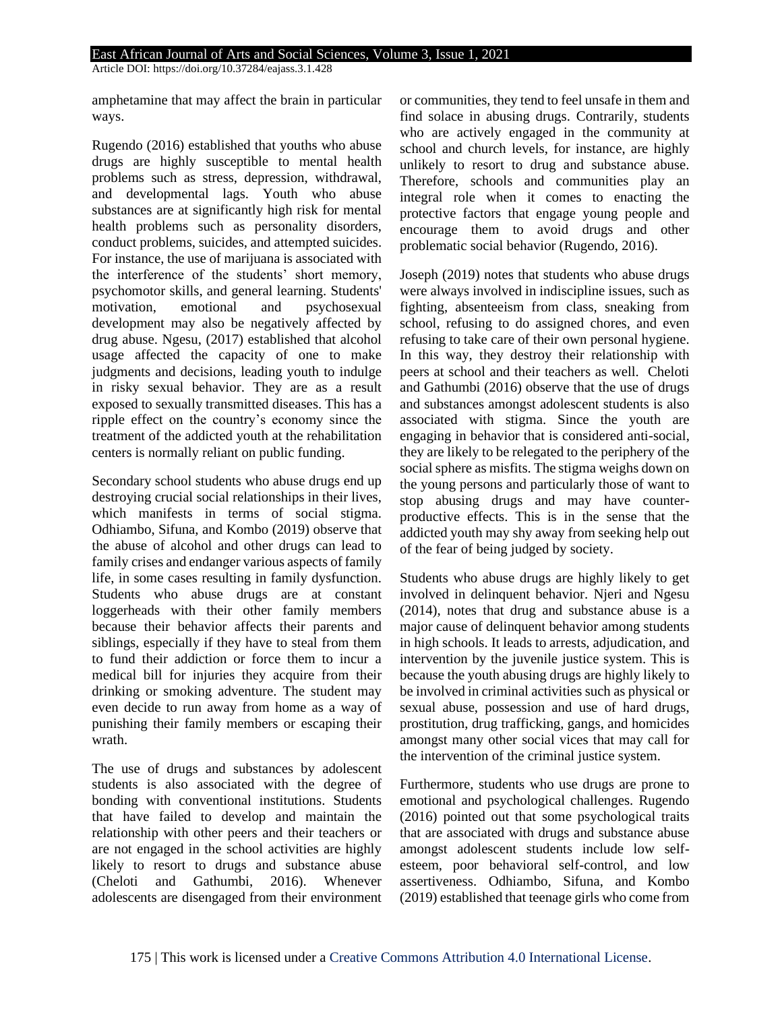amphetamine that may affect the brain in particular ways.

Rugendo (2016) established that youths who abuse drugs are highly susceptible to mental health problems such as stress, depression, withdrawal, and developmental lags. Youth who abuse substances are at significantly high risk for mental health problems such as personality disorders, conduct problems, suicides, and attempted suicides. For instance, the use of marijuana is associated with the interference of the students' short memory, psychomotor skills, and general learning. Students' motivation, emotional and psychosexual development may also be negatively affected by drug abuse. Ngesu, (2017) established that alcohol usage affected the capacity of one to make judgments and decisions, leading youth to indulge in risky sexual behavior. They are as a result exposed to sexually transmitted diseases. This has a ripple effect on the country's economy since the treatment of the addicted youth at the rehabilitation centers is normally reliant on public funding.

Secondary school students who abuse drugs end up destroying crucial social relationships in their lives, which manifests in terms of social stigma. Odhiambo, Sifuna, and Kombo (2019) observe that the abuse of alcohol and other drugs can lead to family crises and endanger various aspects of family life, in some cases resulting in family dysfunction. Students who abuse drugs are at constant loggerheads with their other family members because their behavior affects their parents and siblings, especially if they have to steal from them to fund their addiction or force them to incur a medical bill for injuries they acquire from their drinking or smoking adventure. The student may even decide to run away from home as a way of punishing their family members or escaping their wrath.

The use of drugs and substances by adolescent students is also associated with the degree of bonding with conventional institutions. Students that have failed to develop and maintain the relationship with other peers and their teachers or are not engaged in the school activities are highly likely to resort to drugs and substance abuse (Cheloti and Gathumbi, 2016). Whenever adolescents are disengaged from their environment or communities, they tend to feel unsafe in them and find solace in abusing drugs. Contrarily, students who are actively engaged in the community at school and church levels, for instance, are highly unlikely to resort to drug and substance abuse. Therefore, schools and communities play an integral role when it comes to enacting the protective factors that engage young people and encourage them to avoid drugs and other problematic social behavior (Rugendo, 2016).

Joseph (2019) notes that students who abuse drugs were always involved in indiscipline issues, such as fighting, absenteeism from class, sneaking from school, refusing to do assigned chores, and even refusing to take care of their own personal hygiene. In this way, they destroy their relationship with peers at school and their teachers as well. Cheloti and Gathumbi (2016) observe that the use of drugs and substances amongst adolescent students is also associated with stigma. Since the youth are engaging in behavior that is considered anti-social, they are likely to be relegated to the periphery of the social sphere as misfits. The stigma weighs down on the young persons and particularly those of want to stop abusing drugs and may have counterproductive effects. This is in the sense that the addicted youth may shy away from seeking help out of the fear of being judged by society.

Students who abuse drugs are highly likely to get involved in delinquent behavior. Njeri and Ngesu (2014), notes that drug and substance abuse is a major cause of delinquent behavior among students in high schools. It leads to arrests, adjudication, and intervention by the juvenile justice system. This is because the youth abusing drugs are highly likely to be involved in criminal activities such as physical or sexual abuse, possession and use of hard drugs, prostitution, drug trafficking, gangs, and homicides amongst many other social vices that may call for the intervention of the criminal justice system.

Furthermore, students who use drugs are prone to emotional and psychological challenges. Rugendo (2016) pointed out that some psychological traits that are associated with drugs and substance abuse amongst adolescent students include low selfesteem, poor behavioral self-control, and low assertiveness. Odhiambo, Sifuna, and Kombo (2019) established that teenage girls who come from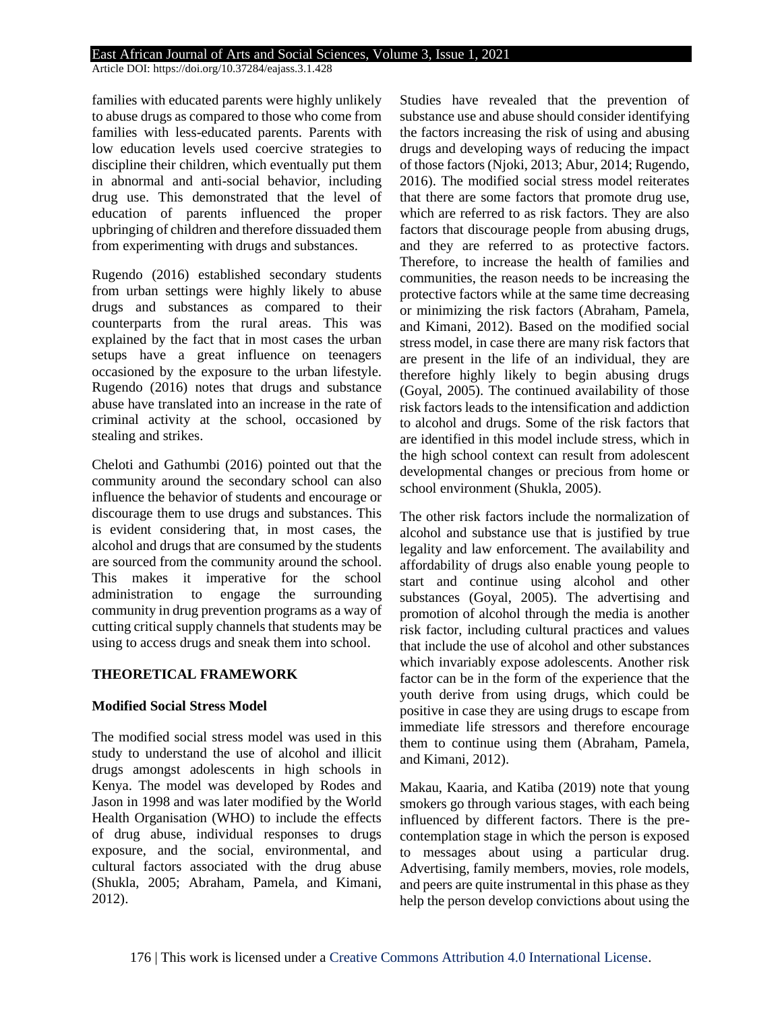families with educated parents were highly unlikely to abuse drugs as compared to those who come from families with less-educated parents. Parents with low education levels used coercive strategies to discipline their children, which eventually put them in abnormal and anti-social behavior, including drug use. This demonstrated that the level of education of parents influenced the proper upbringing of children and therefore dissuaded them from experimenting with drugs and substances.

Rugendo (2016) established secondary students from urban settings were highly likely to abuse drugs and substances as compared to their counterparts from the rural areas. This was explained by the fact that in most cases the urban setups have a great influence on teenagers occasioned by the exposure to the urban lifestyle. Rugendo (2016) notes that drugs and substance abuse have translated into an increase in the rate of criminal activity at the school, occasioned by stealing and strikes.

Cheloti and Gathumbi (2016) pointed out that the community around the secondary school can also influence the behavior of students and encourage or discourage them to use drugs and substances. This is evident considering that, in most cases, the alcohol and drugs that are consumed by the students are sourced from the community around the school. This makes it imperative for the school administration to engage the surrounding community in drug prevention programs as a way of cutting critical supply channels that students may be using to access drugs and sneak them into school.

# **THEORETICAL FRAMEWORK**

# **Modified Social Stress Model**

The modified social stress model was used in this study to understand the use of alcohol and illicit drugs amongst adolescents in high schools in Kenya. The model was developed by Rodes and Jason in 1998 and was later modified by the World Health Organisation (WHO) to include the effects of drug abuse, individual responses to drugs exposure, and the social, environmental, and cultural factors associated with the drug abuse (Shukla, 2005; Abraham, Pamela, and Kimani, 2012).

Studies have revealed that the prevention of substance use and abuse should consider identifying the factors increasing the risk of using and abusing drugs and developing ways of reducing the impact of those factors (Njoki, 2013; Abur, 2014; Rugendo, 2016). The modified social stress model reiterates that there are some factors that promote drug use, which are referred to as risk factors. They are also factors that discourage people from abusing drugs, and they are referred to as protective factors. Therefore, to increase the health of families and communities, the reason needs to be increasing the protective factors while at the same time decreasing or minimizing the risk factors (Abraham, Pamela, and Kimani, 2012). Based on the modified social stress model, in case there are many risk factors that are present in the life of an individual, they are therefore highly likely to begin abusing drugs (Goyal, 2005). The continued availability of those risk factors leads to the intensification and addiction to alcohol and drugs. Some of the risk factors that are identified in this model include stress, which in the high school context can result from adolescent developmental changes or precious from home or school environment (Shukla, 2005).

The other risk factors include the normalization of alcohol and substance use that is justified by true legality and law enforcement. The availability and affordability of drugs also enable young people to start and continue using alcohol and other substances (Goyal, 2005). The advertising and promotion of alcohol through the media is another risk factor, including cultural practices and values that include the use of alcohol and other substances which invariably expose adolescents. Another risk factor can be in the form of the experience that the youth derive from using drugs, which could be positive in case they are using drugs to escape from immediate life stressors and therefore encourage them to continue using them (Abraham, Pamela, and Kimani, 2012).

Makau, Kaaria, and Katiba (2019) note that young smokers go through various stages, with each being influenced by different factors. There is the precontemplation stage in which the person is exposed to messages about using a particular drug. Advertising, family members, movies, role models, and peers are quite instrumental in this phase as they help the person develop convictions about using the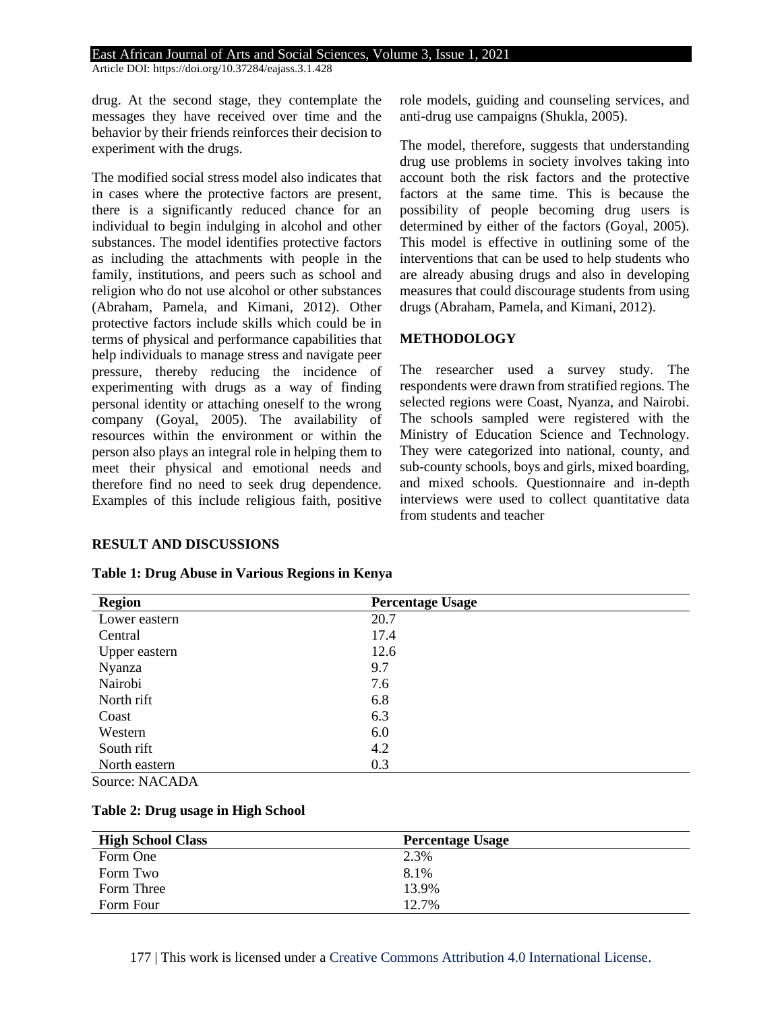drug. At the second stage, they contemplate the messages they have received over time and the behavior by their friends reinforces their decision to experiment with the drugs.

The modified social stress model also indicates that in cases where the protective factors are present, there is a significantly reduced chance for an individual to begin indulging in alcohol and other substances. The model identifies protective factors as including the attachments with people in the family, institutions, and peers such as school and religion who do not use alcohol or other substances (Abraham, Pamela, and Kimani, 2012). Other protective factors include skills which could be in terms of physical and performance capabilities that help individuals to manage stress and navigate peer pressure, thereby reducing the incidence of experimenting with drugs as a way of finding personal identity or attaching oneself to the wrong company (Goyal, 2005). The availability of resources within the environment or within the person also plays an integral role in helping them to meet their physical and emotional needs and therefore find no need to seek drug dependence. Examples of this include religious faith, positive

role models, guiding and counseling services, and anti-drug use campaigns (Shukla, 2005).

The model, therefore, suggests that understanding drug use problems in society involves taking into account both the risk factors and the protective factors at the same time. This is because the possibility of people becoming drug users is determined by either of the factors (Goyal, 2005). This model is effective in outlining some of the interventions that can be used to help students who are already abusing drugs and also in developing measures that could discourage students from using drugs (Abraham, Pamela, and Kimani, 2012).

# **METHODOLOGY**

The researcher used a survey study. The respondents were drawn from stratified regions. The selected regions were Coast, Nyanza, and Nairobi. The schools sampled were registered with the Ministry of Education Science and Technology. They were categorized into national, county, and sub-county schools, boys and girls, mixed boarding, and mixed schools. Questionnaire and in-depth interviews were used to collect quantitative data from students and teacher

### **RESULT AND DISCUSSIONS**

| <b>Region</b> | <b>Percentage Usage</b> |  |
|---------------|-------------------------|--|
| Lower eastern | 20.7                    |  |
| Central       | 17.4                    |  |
| Upper eastern | 12.6                    |  |
| Nyanza        | 9.7                     |  |
| Nairobi       | 7.6                     |  |
| North rift    | 6.8                     |  |
| Coast         | 6.3                     |  |
| Western       | 6.0                     |  |
| South rift    | 4.2                     |  |
| North eastern | 0.3                     |  |

### **Table 1: Drug Abuse in Various Regions in Kenya**

Source: NACADA

| Table 2: Drug usage in High School |  |  |  |
|------------------------------------|--|--|--|
|------------------------------------|--|--|--|

| <b>High School Class</b> | <b>Percentage Usage</b> |  |
|--------------------------|-------------------------|--|
| Form One                 | 2.3%                    |  |
| Form Two                 | 8.1%                    |  |
| Form Three               | 13.9%                   |  |
| Form Four                | 12.7%                   |  |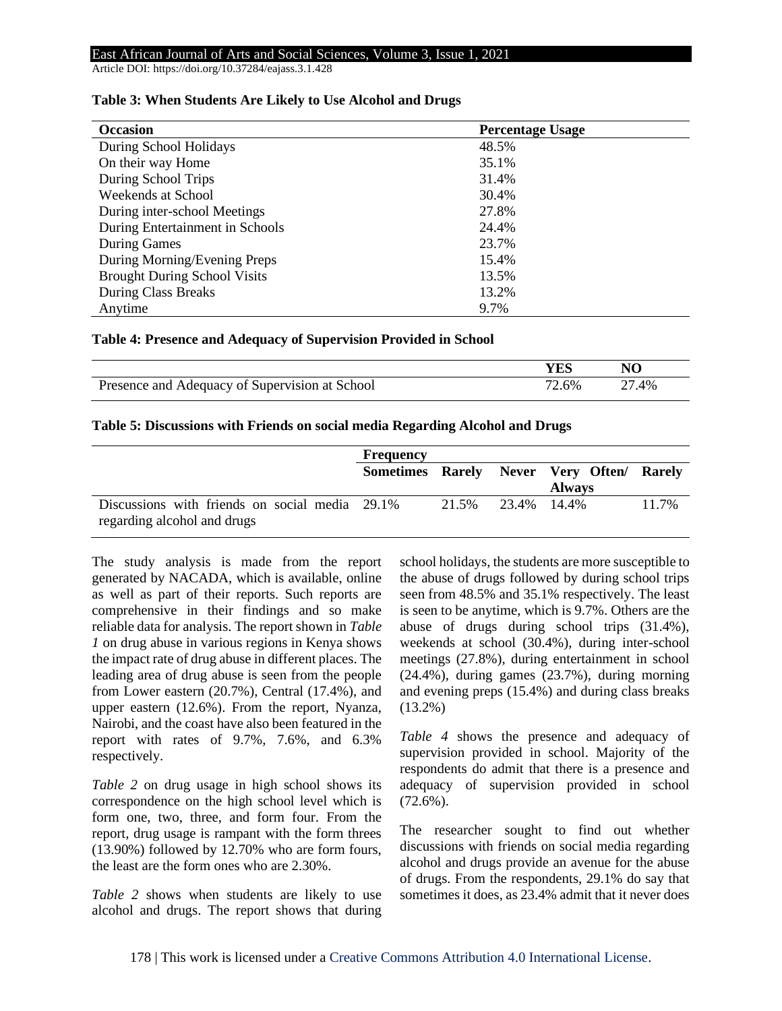Article DOI: [https://doi.org/10.37284/eajass.3.1.428](https://doi.org/10.37284/eajass.3.1.407)

| <b>Occasion</b>                     | <b>Percentage Usage</b> |
|-------------------------------------|-------------------------|
| During School Holidays              | 48.5%                   |
| On their way Home                   | 35.1%                   |
| During School Trips                 | 31.4%                   |
| Weekends at School                  | 30.4%                   |
| During inter-school Meetings        | 27.8%                   |
| During Entertainment in Schools     | 24.4%                   |
| <b>During Games</b>                 | 23.7%                   |
| During Morning/Evening Preps        | 15.4%                   |
| <b>Brought During School Visits</b> | 13.5%                   |
| <b>During Class Breaks</b>          | 13.2%                   |
| Anytime                             | 9.7%                    |

### **Table 3: When Students Are Likely to Use Alcohol and Drugs**

### **Table 4: Presence and Adequacy of Supervision Provided in School**

|                                                | YES   | NΟ    |
|------------------------------------------------|-------|-------|
| Presence and Adequacy of Supervision at School | 72.6% | 27.4% |

### **Table 5: Discussions with Friends on social media Regarding Alcohol and Drugs**

|                                                | <b>Frequency</b> |       |             |                                           |       |
|------------------------------------------------|------------------|-------|-------------|-------------------------------------------|-------|
|                                                |                  |       |             | Sometimes Rarely Never Very Often/ Rarely |       |
| Discussions with friends on social media 29.1% |                  | 21.5% | 23.4% 14.4% | <b>Always</b>                             | 11.7% |
| regarding alcohol and drugs                    |                  |       |             |                                           |       |

The study analysis is made from the report generated by NACADA, which is available, online as well as part of their reports. Such reports are comprehensive in their findings and so make reliable data for analysis. The report shown in *Table 1* on drug abuse in various regions in Kenya shows the impact rate of drug abuse in different places. The leading area of drug abuse is seen from the people from Lower eastern (20.7%), Central (17.4%), and upper eastern (12.6%). From the report, Nyanza, Nairobi, and the coast have also been featured in the report with rates of 9.7%, 7.6%, and 6.3% respectively.

*Table 2* on drug usage in high school shows its correspondence on the high school level which is form one, two, three, and form four. From the report, drug usage is rampant with the form threes (13.90%) followed by 12.70% who are form fours, the least are the form ones who are 2.30%.

*Table 2* shows when students are likely to use alcohol and drugs. The report shows that during school holidays, the students are more susceptible to the abuse of drugs followed by during school trips seen from 48.5% and 35.1% respectively. The least is seen to be anytime, which is 9.7%. Others are the abuse of drugs during school trips (31.4%), weekends at school (30.4%), during inter-school meetings (27.8%), during entertainment in school (24.4%), during games (23.7%), during morning and evening preps (15.4%) and during class breaks (13.2%)

*Table 4* shows the presence and adequacy of supervision provided in school. Majority of the respondents do admit that there is a presence and adequacy of supervision provided in school (72.6%).

The researcher sought to find out whether discussions with friends on social media regarding alcohol and drugs provide an avenue for the abuse of drugs. From the respondents, 29.1% do say that sometimes it does, as 23.4% admit that it never does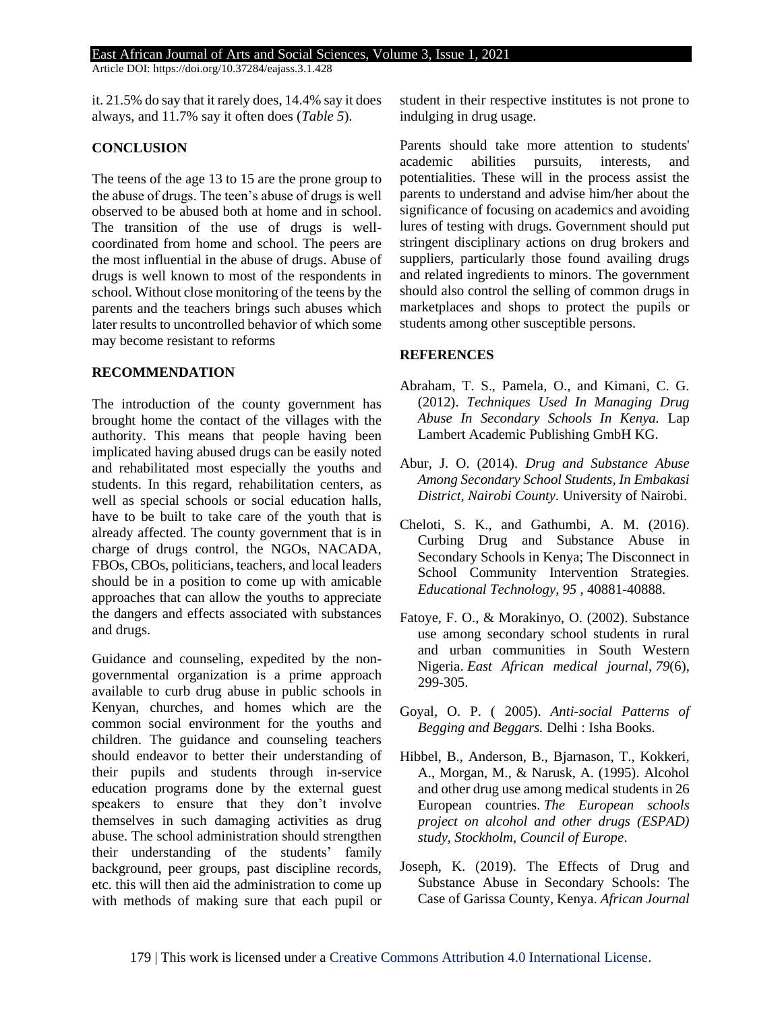it. 21.5% do say that it rarely does, 14.4% say it does always, and 11.7% say it often does (*Table 5*).

# **CONCLUSION**

The teens of the age 13 to 15 are the prone group to the abuse of drugs. The teen's abuse of drugs is well observed to be abused both at home and in school. The transition of the use of drugs is wellcoordinated from home and school. The peers are the most influential in the abuse of drugs. Abuse of drugs is well known to most of the respondents in school. Without close monitoring of the teens by the parents and the teachers brings such abuses which later results to uncontrolled behavior of which some may become resistant to reforms

# **RECOMMENDATION**

The introduction of the county government has brought home the contact of the villages with the authority. This means that people having been implicated having abused drugs can be easily noted and rehabilitated most especially the youths and students. In this regard, rehabilitation centers, as well as special schools or social education halls, have to be built to take care of the youth that is already affected. The county government that is in charge of drugs control, the NGOs, NACADA, FBOs, CBOs, politicians, teachers, and local leaders should be in a position to come up with amicable approaches that can allow the youths to appreciate the dangers and effects associated with substances and drugs.

Guidance and counseling, expedited by the nongovernmental organization is a prime approach available to curb drug abuse in public schools in Kenyan, churches, and homes which are the common social environment for the youths and children. The guidance and counseling teachers should endeavor to better their understanding of their pupils and students through in-service education programs done by the external guest speakers to ensure that they don't involve themselves in such damaging activities as drug abuse. The school administration should strengthen their understanding of the students' family background, peer groups, past discipline records, etc. this will then aid the administration to come up with methods of making sure that each pupil or

student in their respective institutes is not prone to indulging in drug usage.

Parents should take more attention to students' academic abilities pursuits, interests, and potentialities. These will in the process assist the parents to understand and advise him/her about the significance of focusing on academics and avoiding lures of testing with drugs. Government should put stringent disciplinary actions on drug brokers and suppliers, particularly those found availing drugs and related ingredients to minors. The government should also control the selling of common drugs in marketplaces and shops to protect the pupils or students among other susceptible persons.

# **REFERENCES**

- Abraham, T. S., Pamela, O., and Kimani, C. G. (2012). *Techniques Used In Managing Drug Abuse In Secondary Schools In Kenya.* Lap Lambert Academic Publishing GmbH KG.
- Abur, J. O. (2014). *Drug and Substance Abuse Among Secondary School Students, In Embakasi District, Nairobi County.* University of Nairobi.
- Cheloti, S. K., and Gathumbi, A. M. (2016). Curbing Drug and Substance Abuse in Secondary Schools in Kenya; The Disconnect in School Community Intervention Strategies. *Educational Technology, 95* , 40881-40888.
- Fatoye, F. O., & Morakinyo, O. (2002). Substance use among secondary school students in rural and urban communities in South Western Nigeria. *East African medical journal*, *79*(6), 299-305.
- Goyal, O. P. ( 2005). *Anti-social Patterns of Begging and Beggars.* Delhi : Isha Books.
- Hibbel, B., Anderson, B., Bjarnason, T., Kokkeri, A., Morgan, M., & Narusk, A. (1995). Alcohol and other drug use among medical students in 26 European countries. *The European schools project on alcohol and other drugs (ESPAD) study, Stockholm, Council of Europe*.
- Joseph, K. (2019). The Effects of Drug and Substance Abuse in Secondary Schools: The Case of Garissa County, Kenya. *African Journal*